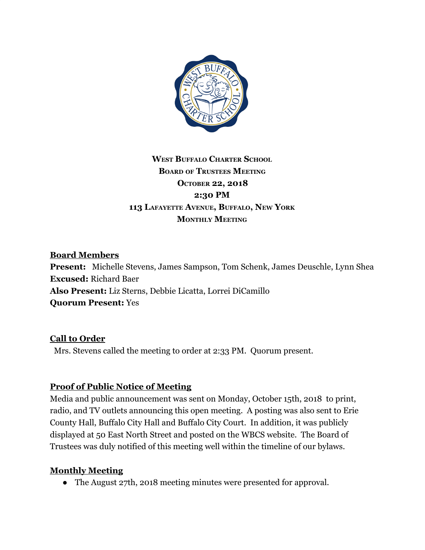

# **WEST BUFFALO CHARTER SCHOOL BOARD OF TRUSTEES MEETING OCTOBER 22, 2018 2:30 PM 113 LAFAYETTE AVENUE, BUFFALO, NEW YORK MONTHLY MEETING**

### **Board Members**

**Present:** Michelle Stevens, James Sampson, Tom Schenk, James Deuschle, Lynn Shea **Excused:** Richard Baer **Also Present:** Liz Sterns, Debbie Licatta, Lorrei DiCamillo **Quorum Present:** Yes

#### **Call to Order**

Mrs. Stevens called the meeting to order at 2:33 PM. Quorum present.

### **Proof of Public Notice of Meeting**

Media and public announcement was sent on Monday, October 15th, 2018 to print, radio, and TV outlets announcing this open meeting. A posting was also sent to Erie County Hall, Buffalo City Hall and Buffalo City Court. In addition, it was publicly displayed at 50 East North Street and posted on the WBCS website. The Board of Trustees was duly notified of this meeting well within the timeline of our bylaws.

#### **Monthly Meeting**

• The August 27th, 2018 meeting minutes were presented for approval.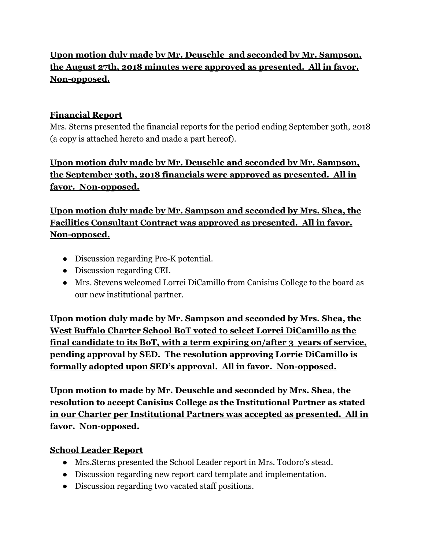# **Upon motion duly made by Mr. Deuschle and seconded by Mr. Sampson, the August 27th, 2018 minutes were approved as presented. All in favor. Non-opposed.**

## **Financial Report**

Mrs. Sterns presented the financial reports for the period ending September 30th, 2018 (a copy is attached hereto and made a part hereof).

**Upon motion duly made by Mr. Deuschle and seconded by Mr. Sampson, the September 30th, 2018 financials were approved as presented. All in favor. Non-opposed.**

# **Upon motion duly made by Mr. Sampson and seconded by Mrs. Shea, the Facilities Consultant Contract was approved as presented. All in favor. Non-opposed.**

- Discussion regarding Pre-K potential.
- Discussion regarding CEI.
- Mrs. Stevens welcomed Lorrei DiCamillo from Canisius College to the board as our new institutional partner.

**Upon motion duly made by Mr. Sampson and seconded by Mrs. Shea, the West Buffalo Charter School BoT voted to select Lorrei DiCamillo as the final candidate to its BoT, with a term expiring on/after 3 years of service, pending approval by SED. The resolution approving Lorrie DiCamillo is formally adopted upon SED's approval. All in favor. Non-opposed.**

**Upon motion to made by Mr. Deuschle and seconded by Mrs. Shea, the resolution to accept Canisius College as the Institutional Partner as stated in our Charter per Institutional Partners was accepted as presented. All in favor. Non-opposed.**

### **School Leader Report**

- Mrs.Sterns presented the School Leader report in Mrs. Todoro's stead.
- Discussion regarding new report card template and implementation.
- Discussion regarding two vacated staff positions.